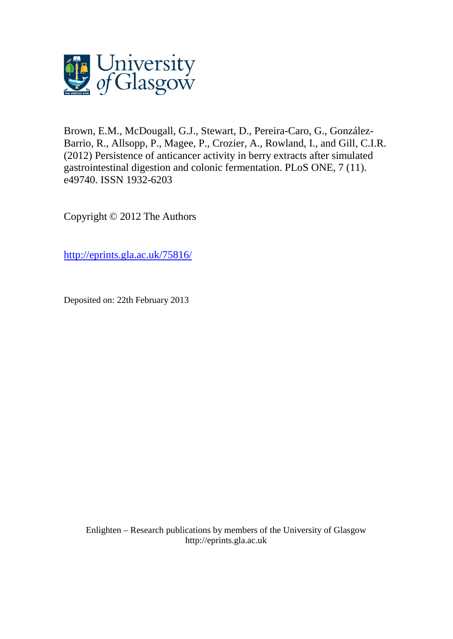

Brown, E.M., McDougall, G.J., Stewart, D., Pereira-Caro, G., González-Barrio, R., Allsopp, P., Magee, P., Crozier, A., Rowland, I., and Gill, C.I.R. (2012) Persistence of anticancer activity in berry extracts after simulated gastrointestinal digestion and colonic fermentation. PLoS ONE, 7 (11). e49740. ISSN 1932-6203

Copyright © 2012 The Authors

<http://eprints.gla.ac.uk/75816/>

Deposited on: 22th February 2013

Enlighten – Research publications by members of the University of Glasgo[w](http://eprints.gla.ac.uk/) [http://eprints.gla.ac.uk](http://eprints.gla.ac.uk/)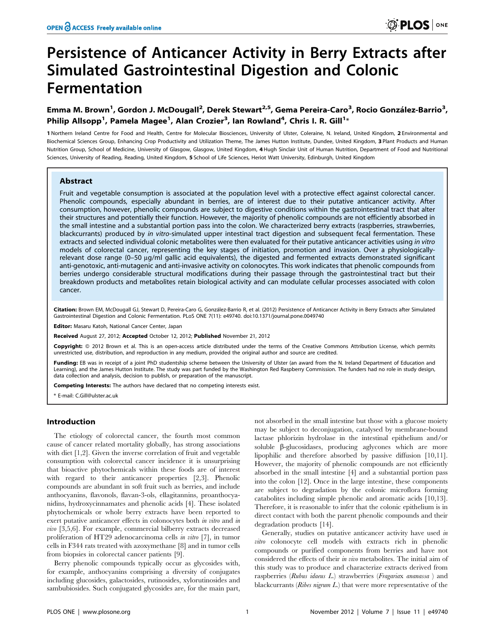# Persistence of Anticancer Activity in Berry Extracts after Simulated Gastrointestinal Digestion and Colonic Fermentation

# Emma M. Brown<sup>1</sup>, Gordon J. McDougall<sup>2</sup>, Derek Stewart<sup>2,5</sup>, Gema Pereira-Caro<sup>3</sup>, Rocio González-Barrio<sup>3</sup>, Philip Allsopp<sup>1</sup>, Pamela Magee<sup>1</sup>, Alan Crozier<sup>3</sup>, Ian Rowland<sup>4</sup>, Chris I. R. Gill<sup>1</sup>\*

1 Northern Ireland Centre for Food and Health, Centre for Molecular Biosciences, University of Ulster, Coleraine, N. Ireland, United Kingdom, 2 Environmental and Biochemical Sciences Group, Enhancing Crop Productivity and Utilization Theme, The James Hutton Institute, Dundee, United Kingdom, 3 Plant Products and Human Nutrition Group, School of Medicine, University of Glasgow, Glasgow, United Kingdom, 4 Hugh Sinclair Unit of Human Nutrition, Department of Food and Nutritional Sciences, University of Reading, Reading, United Kingdom, 5 School of Life Sciences, Heriot Watt University, Edinburgh, United Kingdom

# Abstract

Fruit and vegetable consumption is associated at the population level with a protective effect against colorectal cancer. Phenolic compounds, especially abundant in berries, are of interest due to their putative anticancer activity. After consumption, however, phenolic compounds are subject to digestive conditions within the gastrointestinal tract that alter their structures and potentially their function. However, the majority of phenolic compounds are not efficiently absorbed in the small intestine and a substantial portion pass into the colon. We characterized berry extracts (raspberries, strawberries, blackcurrants) produced by in vitro-simulated upper intestinal tract digestion and subsequent fecal fermentation. These extracts and selected individual colonic metabolites were then evaluated for their putative anticancer activities using in vitro models of colorectal cancer, representing the key stages of initiation, promotion and invasion. Over a physiologicallyrelevant dose range  $(0-50 \mu q/ml$  gallic acid equivalents), the digested and fermented extracts demonstrated significant anti-genotoxic, anti-mutagenic and anti-invasive activity on colonocytes. This work indicates that phenolic compounds from berries undergo considerable structural modifications during their passage through the gastrointestinal tract but their breakdown products and metabolites retain biological activity and can modulate cellular processes associated with colon cancer.

Citation: Brown EM, McDougall GJ, Stewart D, Pereira-Caro G, González-Barrio R, et al. (2012) Persistence of Anticancer Activity in Berry Extracts after Simulated Gastrointestinal Digestion and Colonic Fermentation. PLoS ONE 7(11): e49740. doi:10.1371/journal.pone.0049740

Editor: Masaru Katoh, National Cancer Center, Japan

Received August 27, 2012; Accepted October 12, 2012; Published November 21, 2012

Copyright: © 2012 Brown et al. This is an open-access article distributed under the terms of the Creative Commons Attribution License, which permits unrestricted use, distribution, and reproduction in any medium, provided the original author and source are credited.

Funding: EB was in receipt of a joint PhD studentship scheme between the University of Ulster (an award from the N. Ireland Department of Education and Learning), and the James Hutton Institute. The study was part funded by the Washington Red Raspberry Commission. The funders had no role in study design, data collection and analysis, decision to publish, or preparation of the manuscript.

Competing Interests: The authors have declared that no competing interests exist.

\* E-mail: C.Gill@ulster.ac.uk

# Introduction

The etiology of colorectal cancer, the fourth most common cause of cancer related mortality globally, has strong associations with diet [1,2]. Given the inverse correlation of fruit and vegetable consumption with colorectal cancer incidence it is unsurprising that bioactive phytochemicals within these foods are of interest with regard to their anticancer properties [2,3]. Phenolic compounds are abundant in soft fruit such as berries, and include anthocyanins, flavonols, flavan-3-ols, ellagitannins, proanthocyanidins, hydroxycinnamates and phenolic acids [4]. These isolated phytochemicals or whole berry extracts have been reported to exert putative anticancer effects in colonocytes both *in vitro* and *in* vivo [3,5,6]. For example, commercial bilberry extracts decreased proliferation of HT29 adenocarcinoma cells in vitro [7], in tumor cells in F344 rats treated with azoxymethane [8] and in tumor cells from biopsies in colorectal cancer patients [9].

Berry phenolic compounds typically occur as glycosides with, for example, anthocyanins comprising a diversity of conjugates including glucosides, galactosides, rutinosides, xylorutinosides and sambubiosides. Such conjugated glycosides are, for the main part, not absorbed in the small intestine but those with a glucose moiety may be subject to deconjugation, catalysed by membrane-bound lactase phlorizin hydrolase in the intestinal epithelium and/or soluble  $\beta$ -glucosidases, producing aglycones which are more lipophilic and therefore absorbed by passive diffusion [10,11]. However, the majority of phenolic compounds are not efficiently absorbed in the small intestine [4] and a substantial portion pass into the colon [12]. Once in the large intestine, these components are subject to degradation by the colonic microflora forming catabolites including simple phenolic and aromatic acids [10,13]. Therefore, it is reasonable to infer that the colonic epithelium is in direct contact with both the parent phenolic compounds and their degradation products [14].

Generally, studies on putative anticancer activity have used in vitro colonocyte cell models with extracts rich in phenolic compounds or purified components from berries and have not considered the effects of their in vivo metabolites. The initial aim of this study was to produce and characterize extracts derived from raspberries (Rubus idaeus L.) strawberries (Fragariax ananassa ) and blackcurrants ( $Ribes$  nigrum  $L$ .) that were more representative of the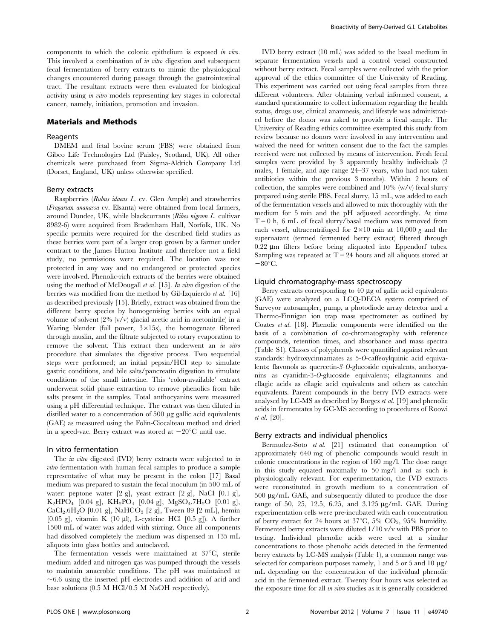components to which the colonic epithelium is exposed in vivo. This involved a combination of in vitro digestion and subsequent fecal fermentation of berry extracts to mimic the physiological changes encountered during passage through the gastrointestinal tract. The resultant extracts were then evaluated for biological activity using in vitro models representing key stages in colorectal cancer, namely, initiation, promotion and invasion.

# Materials and Methods

## Reagents

DMEM and fetal bovine serum (FBS) were obtained from Gibco Life Technologies Ltd (Paisley, Scotland, UK). All other chemicals were purchased from Sigma-Aldrich Company Ltd (Dorset, England, UK) unless otherwise specified.

#### Berry extracts

Raspberries (Rubus idaeus L. cv. Glen Ample) and strawberries (Fragariax ananassa cv. Elsanta) were obtained from local farmers, around Dundee, UK, while blackcurrants (Ribes nigrum L. cultivar 8982-6) were acquired from Bradenham Hall, Norfolk, UK. No specific permits were required for the described field studies as these berries were part of a larger crop grown by a farmer under contract to the James Hutton Institute and therefore not a field study, no permissions were required. The location was not protected in any way and no endangered or protected species were involved. Phenolic-rich extracts of the berries were obtained using the method of McDougall et al. [15]. In vitro digestion of the berries was modified from the method by Gil-Izquierdo et al. [16] as described previously [15]. Briefly, extract was obtained from the different berry species by homogenising berries with an equal volume of solvent  $(2\% (v/v)$  glacial acetic acid in acetonitrile) in a Waring blender (full power,  $3 \times 15s$ ), the homogenate filtered through muslin, and the filtrate subjected to rotary evaporation to remove the solvent. This extract then underwent an in vitro procedure that simulates the digestive process. Two sequential steps were performed; an initial pepsin/HCl step to simulate gastric conditions, and bile salts/pancreatin digestion to simulate conditions of the small intestine. This 'colon-available' extract underwent solid phase extraction to remove phenolics from bile salts present in the samples. Total anthocyanins were measured using a pH differential technique. The extract was then diluted in distilled water to a concentration of 500 µg gallic acid equivalents (GAE) as measured using the Folin-Ciocalteau method and dried in a speed-vac. Berry extract was stored at  $-20^{\circ}$ C until use.

# In vitro fermentation

The *in vitro* digested (IVD) berry extracts were subjected to *in* vitro fermentation with human fecal samples to produce a sample representative of what may be present in the colon [17] Basal medium was prepared to sustain the fecal inoculum (in 500 mL of water: peptone water [2 g], yeast extract [2 g], NaCl [0.1 g],  $K_2HPO_4$  [0.04 g],  $KH_2PO_4$  [0.04 g],  $MgSO_4.7H_2O$  [0.01 g],  $CaCl<sub>2</sub>.6H<sub>2</sub>O$  [0.01 g], NaHCO<sub>3</sub> [2 g], Tween 89 [2 mL], hemin [0.05 g], vitamin K (10  $\mu$ l), L-cysteine HCl [0.5 g]). A further 1500 mL of water was added with stirring. Once all components had dissolved completely the medium was dispensed in 135 mL aliquots into glass bottles and autoclaved.

The fermentation vessels were maintained at  $37^{\circ}$ C, sterile medium added and nitrogen gas was pumped through the vessels to maintain anaerobic conditions. The pH was maintained at  $\sim6.6$  using the inserted pH electrodes and addition of acid and base solutions (0.5 M HCl/0.5 M NaOH respectively).

IVD berry extract (10 mL) was added to the basal medium in separate fermentation vessels and a control vessel constructed without berry extract. Fecal samples were collected with the prior approval of the ethics committee of the University of Reading. This experiment was carried out using fecal samples from three different volunteers. After obtaining verbal informed consent, a standard questionnaire to collect information regarding the health status, drugs use, clinical anamnesis, and lifestyle was administrated before the donor was asked to provide a fecal sample. The University of Reading ethics committee exempted this study from review because no donors were involved in any intervention and waived the need for written consent due to the fact the samples received were not collected by means of intervention. Fresh fecal samples were provided by 3 apparently healthy individuals (2 males, 1 female, and age range 24–37 years, who had not taken antibiotics within the previous 3 months). Within 2 hours of collection, the samples were combined and  $10\%$  (w/v) fecal slurry prepared using sterile PBS. Fecal slurry, 15 mL, was added to each of the fermentation vessels and allowed to mix thoroughly with the medium for 5 min and the pH adjusted accordingly. At time  $T = 0$  h, 6 mL of fecal slurry/basal medium was removed from each vessel, ultracentrifuged for  $2\times10$  min at  $10,000$  g and the supernatant (termed fermented berry extract) filtered through  $0.22 \mu m$  filters before being aliquoted into Eppendorf tubes. Sampling was repeated at  $T = 24$  hours and all aliquots stored at  $-80^{\circ}$ C.

# Liquid chromatography-mass spectroscopy

Berry extracts corresponding to 40 µg of gallic acid equivalents (GAE) were analyzed on a LCQ-DECA system comprised of Surveyor autosampler, pump, a photodiode array detector and a Thermo-Finnigan ion trap mass spectrometer as outlined by Coates et al. [18]. Phenolic components were identified on the basis of a combination of co-chromatography with reference compounds, retention times, and absorbance and mass spectra (Table S1). Classes of polyphenols were quantified against relevant standards: hydroxycinnamates as 5-O-caffeoylquinic acid equivalents; flavonols as quercetin-3-O-glucoside equivalents, anthocyanins as cyanidin-3-O-glucoside equivalents; ellagitannins and ellagic acids as ellagic acid equivalents and others as catechin equivalents. Parent compounds in the berry IVD extracts were analysed by LC-MS as described by Borges et al. [19] and phenolic acids in fermentates by GC-MS according to procedures of Roowi et al. [20].

#### Berry extracts and individual phenolics

Bermudez-Soto et al. [21] estimated that consumption of approximately 640 mg of phenolic compounds would result in colonic concentrations in the region of 160 mg/l. The dose range in this study equated maximally to 50 mg/l and as such is physiologically relevant. For experimentation, the IVD extracts were reconstituted in growth medium to a concentration of 500 mg/mL GAE, and subsequently diluted to produce the dose range of 50, 25, 12.5, 6.25, and 3.125 µg/mL GAE. During experimentation cells were pre-incubated with each concentration of berry extract for 24 hours at  $37^{\circ}$ C, 5% CO<sub>2</sub>, 95% humidity. Fermented berry extracts were diluted 1/10 v/v with PBS prior to testing. Individual phenolic acids were used at a similar concentrations to those phenolic acids detected in the fermented berry extracts by LC-MS analysis (Table 1), a common range was selected for comparison purposes namely, 1 and 5 or 5 and 10  $\mu$ g/ mL depending on the concentration of the individual phenolic acid in the fermented extract. Twenty four hours was selected as the exposure time for all in vitro studies as it is generally considered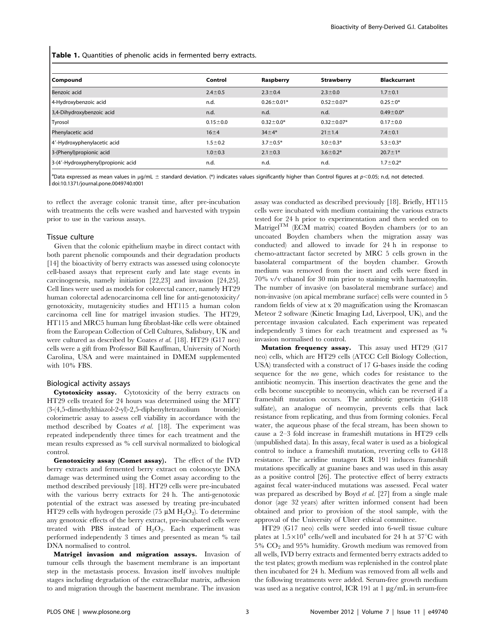Table 1. Quantities of phenolic acids in fermented berry extracts.

| Compound                            | Control        | Raspberry        | <b>Strawberry</b> | <b>Blackcurrant</b> |
|-------------------------------------|----------------|------------------|-------------------|---------------------|
| Benzoic acid                        | $2.4 \pm 0.5$  | $2.3 \pm 0.4$    | $2.3 \pm 0.0$     | $1.7 \pm 0.1$       |
| 4-Hydroxybenzoic acid               | n.d.           | $0.26 \pm 0.01*$ | $0.52 \pm 0.07*$  | $0.25 \pm 0*$       |
| 3,4-Dihydroxybenzoic acid           | n.d.           | n.d.             | n.d.              | $0.49 \pm 0.0*$     |
| Tyrosol                             | $0.15 \pm 0.0$ | $0.32 \pm 0.0*$  | $0.32 \pm 0.07*$  | $0.17 + 0.0$        |
| Phenylacetic acid                   | $16 + 4$       | $34 \pm 4*$      | $21 \pm 1.4$      | $7.4 \pm 0.1$       |
| 4'-Hydroxyphenylacetic acid         | $1.5 \pm 0.2$  | $3.7 \pm 0.5*$   | $3.0 \pm 0.3*$    | $5.3 \pm 0.3*$      |
| 3-(Phenyl)propionic acid            | $1.0 \pm 0.3$  | $2.1 \pm 0.3$    | $3.6 \pm 0.2*$    | $20.7 \pm 1*$       |
| 3-(4'-Hydroxyphenyl) propionic acid | n.d.           | n.d.             | n.d.              | $1.7 \pm 0.2*$      |

 $^{\rm a}$ Data expressed as mean values in  $\mu$ g/mL  $\pm$  standard deviation. (\*) indicates values significantly higher than Control figures at  $p$ <0.05; n.d, not detected. doi:10.1371/journal.pone.0049740.t001

to reflect the average colonic transit time, after pre-incubation with treatments the cells were washed and harvested with trypsin prior to use in the various assays.

#### Tissue culture

Given that the colonic epithelium maybe in direct contact with both parent phenolic compounds and their degradation products [14] the bioactivity of berry extracts was assessed using colonocyte cell-based assays that represent early and late stage events in carcinogenesis, namely initiation [22,23] and invasion [24,25]. Cell lines were used as models for colorectal cancer, namely HT29 human colorectal adenocarcinoma cell line for anti-genotoxicity/ genotoxicity, mutagenicity studies and HT115 a human colon carcinoma cell line for matrigel invasion studies. The HT29, HT115 and MRC5 human lung fibroblast-like cells were obtained from the European Collection of Cell Cultures, Salisbury, UK and were cultured as described by Coates et al. [18]. HT29 (G17 neo) cells were a gift from Professor Bill Kauffman, University of North Carolina, USA and were maintained in DMEM supplemented with 10% FBS.

#### Biological activity assays

Cytotoxicity assay. Cytotoxicity of the berry extracts on HT29 cells treated for 24 hours was determined using the MTT (3-(4,5-dimethylthiazol-2-yl)-2,5-diphenyltetrazolium bromide) colorimetric assay to assess cell viability in accordance with the method described by Coates et al. [18]. The experiment was repeated independently three times for each treatment and the mean results expressed as % cell survival normalized to biological control.

Genotoxicity assay (Comet assay). The effect of the IVD berry extracts and fermented berry extract on colonocyte DNA damage was determined using the Comet assay according to the method described previously [18]. HT29 cells were pre-incubated with the various berry extracts for 24 h. The anti-genotoxic potential of the extract was assessed by treating pre-incubated HT29 cells with hydrogen peroxide (75  $\mu$ M H<sub>2</sub>O<sub>2</sub>). To determine any genotoxic effects of the berry extract, pre-incubated cells were treated with PBS instead of  $H_2O_2$ . Each experiment was performed independently 3 times and presented as mean % tail DNA normalised to control.

Matrigel invasion and migration assays. Invasion of tumour cells through the basement membrane is an important step in the metastasis process. Invasion itself involves multiple stages including degradation of the extracellular matrix, adhesion to and migration through the basement membrane. The invasion assay was conducted as described previously [18]. Briefly, HT115 cells were incubated with medium containing the various extracts tested for 24 h prior to experimentation and then seeded on to Matrigel $T^M$  (ECM matrix) coated Boyden chambers (or to an uncoated Boyden chambers when the migration assay was conducted) and allowed to invade for 24 h in response to chemo-attractant factor secreted by MRC 5 cells grown in the basolateral compartment of the boyden chamber. Growth medium was removed from the insert and cells were fixed in 70% v/v ethanol for 30 min prior to staining with haematoxylin. The number of invasive (on basolateral membrane surface) and non-invasive (on apical membrane surface) cells were counted in 5 random fields of view at x 20 magnification using the Kromascan Meteor 2 software (Kinetic Imaging Ltd, Liverpool, UK), and the percentage invasion calculated. Each experiment was repeated independently 3 times for each treatment and expressed as % invasion normalised to control.

Mutation frequency assay. This assay used HT29 (G17 neo) cells, which are HT29 cells (ATCC Cell Biology Collection, USA) transfected with a construct of 17 G-bases inside the coding sequence for the neo gene, which codes for resistance to the antibiotic neomycin. This insertion deactivates the gene and the cells become susceptible to neomycin, which can be reversed if a frameshift mutation occurs. The antibiotic geneticin (G418 sulfate), an analogue of neomycin, prevents cells that lack resistance from replicating, and thus from forming colonies. Fecal water, the aqueous phase of the fecal stream, has been shown to cause a 2–3 fold increase in frameshift mutations in HT29 cells (unpublished data). In this assay, fecal water is used as a biological control to induce a frameshift mutation, reverting cells to G418 resistance. The acridine mutagen ICR 191 induces frameshift mutations specifically at guanine bases and was used in this assay as a positive control [26]. The protective effect of berry extracts against fecal water-induced mutations was assessed. Fecal water was prepared as described by Boyd et al. [27] from a single male donor (age 32 years) after written informed consent had been obtained and prior to provision of the stool sample, with the approval of the University of Ulster ethical committee.

HT29 (G17 neo) cells were seeded into 6-well tissue culture plates at  $1.5\times10^4$  cells/well and incubated for 24 h at 37<sup>o</sup>C with  $5\%$  CO<sub>2</sub> and  $95\%$  humidity. Growth medium was removed from all wells, IVD berry extracts and fermented berry extracts added to the test plates; growth medium was replenished in the control plate then incubated for 24 h. Medium was removed from all wells and the following treatments were added. Serum-free growth medium was used as a negative control, ICR 191 at  $1 \mu g/mL$  in serum-free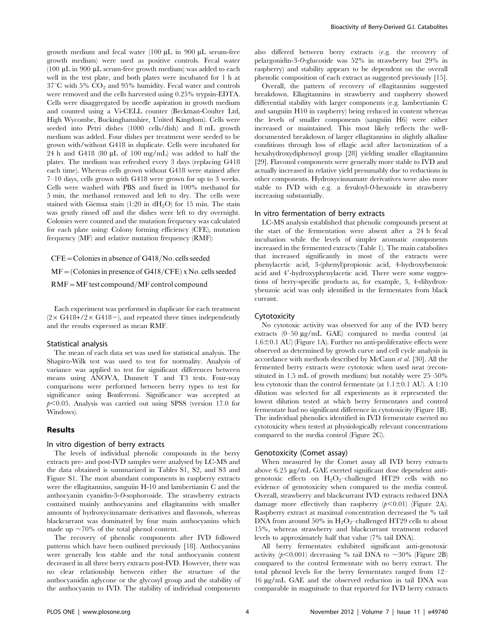growth medium and fecal water  $(100 \mu L)$  in 900  $\mu$ L serum-free growth medium) were used as positive controls. Fecal water (100  $\mu$ L in 900  $\mu$ L serum-free growth medium) was added to each well in the test plate, and both plates were incubated for 1 h at  $37^{\circ}$ C with 5%  $CO_2$  and 95% humidity. Fecal water and controls were removed and the cells harvested using 0.25% trypsin-EDTA. Cells were disaggregated by needle aspiration in growth medium and counted using a Vi-CELL counter (Beckman-Coulter Ltd, High Wycombe, Buckinghamshire, United Kingdom). Cells were seeded into Petri dishes (1000 cells/dish) and 8 mL growth medium was added. Four dishes per treatment were seeded to be grown with/without G418 in duplicate. Cells were incubated for 24 h and G418 (80  $\mu$ L of 100 mg/mL) was added to half the plates. The medium was refreshed every 3 days (replacing G418 each time). Whereas cells grown without G418 were stained after 7–10 days, cells grown with G418 were grown for up to 3 weeks. Cells were washed with PBS and fixed in 100% methanol for 5 min, the methanol removed and left to dry. The cells were stained with Giemsa stain  $(1:20 \text{ in } dH_2O)$  for 15 min. The stain was gently rinsed off and the dishes were left to dry overnight. Colonies were counted and the mutation frequency was calculated for each plate using: Colony forming efficiency (CFE), mutation frequency (MF) and relative mutation frequency (RMF):

 $CFE =$ Colonies in absence of G418/No. cells seeded  $MF = (Colonies in presence of G418/CFE)$  x No. cells seeded  $RMF = MF$  test compound/MF control compound

Each experiment was performed in duplicate for each treatment  $(2 \times G418+/2 \times G418-)$ , and repeated three times independently and the results expressed as mean RMF.

#### Statistical analysis

The mean of each data set was used for statistical analysis. The Shapiro-Wilk test was used to test for normality. Analysis of variance was applied to test for significant differences between means using ANOVA, Dunnett T and T3 tests. Four-way comparisons were performed between berry types to test for significance using Bonferroni. Significance was accepted at  $p<0.05$ . Analysis was carried out using SPSS (version 17.0 for Windows).

#### Results

#### In vitro digestion of berry extracts

The levels of individual phenolic compounds in the berry extracts pre- and post-IVD samples were analysed by LC-MS and the data obtained is summarized in Tables S1, S2, and S3 and Figure S1. The most abundant components in raspberry extracts were the ellagitannins, sanguiin H-10 and lambertianin C and the anthocyanin cyanidin-3-O-sophoroside. The strawberry extracts contained mainly anthocyanins and ellagitannins with smaller amounts of hydroxycinnamate derivatives and flavonols, whereas blackcurrant was dominated by four main anthocyanins which made up  $\sim$  70% of the total phenol content.

The recovery of phenolic components after IVD followed patterns which have been outlined previously [18]. Anthocyanins were generally less stable and the total anthocyanin content decreased in all three berry extracts post-IVD. However, there was no clear relationship between either the structure of the anthocyanidin aglycone or the glycosyl group and the stability of the anthocyanin to IVD. The stability of individual components also differed between berry extracts (e.g. the recovery of pelargonidin-3-O-glucoside was 52% in strawberry but 29% in raspberry) and stability appears to be dependent on the overall phenolic composition of each extract as suggested previously [15].

Overall, the pattern of recovery of ellagitannins suggested breakdown. Ellagitannins in strawberry and raspberry showed differential stability with larger components (e.g. lambertianin C and sanguiin H10 in raspberry) being reduced in content whereas the levels of smaller components (sanguiin H6) were either increased or maintained. This most likely reflects the welldocumented breakdown of larger ellagitannins in slightly alkaline conditions through loss of ellagic acid after lactonization of a hexahydroxydiphenoyl group [28] yielding smaller ellagitannins [29]. Flavonol components were generally more stable to IVD and actually increased in relative yield presumably due to reductions in other components. Hydroxycinnamate derivatives were also more stable to IVD with e.g. a feruloyl-O-hexoside in strawberry increasing substantially.

#### In vitro fermentation of berry extracts

LC-MS analysis established that phenolic compounds present at the start of the fermentation were absent after a 24 h fecal incubation while the levels of simpler aromatic components increased in the fermented extracts (Table 1). The main catabolites that increased significantly in most of the extracts were phenylacetic acid, 3-(phenyl)propionic acid, 4-hydroxybenzoic acid and 4'-hydroxyphenylacetic acid. There were some suggestions of berry-specific products as, for example, 3, 4-dihydroxybenzoic acid was only identified in the fermentates from black currant.

#### Cytotoxicity

No cytotoxic activity was observed for any of the IVD berry extracts (0-50 µg/mL GAE) compared to media control (at  $1.6\pm0.1$  AU) (Figure 1A). Further no anti-proliferative effects were observed as determined by growth curve and cell cycle analysis in accordance with methods described by McCann et al. [30]. All the fermented berry extracts were cytotoxic when used neat (reconstituted in 1.5 mL of growth medium) but notably were 25–50% less cytotoxic than the control fermentate (at  $1.1 \pm 0.1$  AU). A  $1:10$ dilution was selected for all experiments as it represented the lowest dilution tested at which berry fermentates and control fermentate had no significant difference in cytotoxicity (Figure 1B). The individual phenolics identified in IVD fermentate exerted no cytotoxicity when tested at physiologically relevant concentrations compared to the media control (Figure 2C).

#### Genotoxicity (Comet assay)

When measured by the Comet assay all IVD berry extracts above 6.25 µg/mL GAE exerted significant dose dependent antigenotoxic effects on  $H_2O_2$ -challenged HT29 cells with no evidence of genotoxicity when compared to the media control. Overall, strawberry and blackcurrant IVD extracts reduced DNA damage more effectively than raspberry  $(p<0.01)$  (Figure 2A). Raspberry extract at maximal concentration decreased the % tail DNA from around 50% in  $H_2O_2$ –challenged HT29 cells to about 15%, whereas strawberry and blackcurrant treatment reduced levels to approximately half that value (7% tail DNA).

All berry fermentates exhibited significant anti-genotoxic activity ( $p<0.001$ ) decreasing % tail DNA to  $\sim$ 30% (Figure 2B) compared to the control fermentate with no berry extract. The total phenol levels for the berry fermentates ranged from 12– 16 mg/mL GAE and the observed reduction in tail DNA was comparable in magnitude to that reported for IVD berry extracts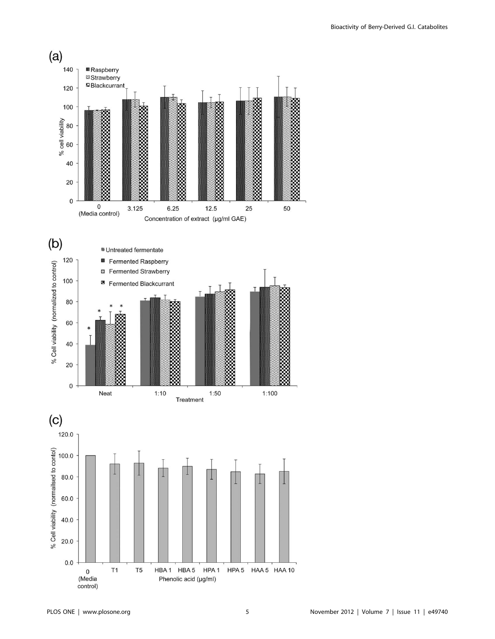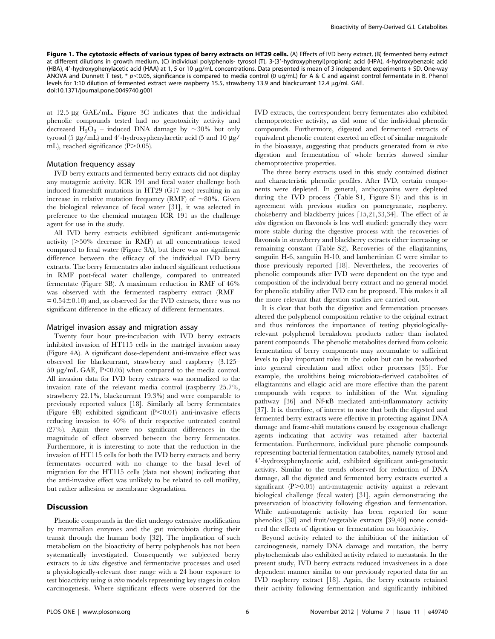Figure 1. The cytotoxic effects of various types of berry extracts on HT29 cells. (A) Effects of IVD berry extract, (B) fermented berry extract at different dilutions in growth medium, (C) individual polyphenols- tyrosol (T), 3-(3'-hydroxyphenyl)propionic acid (HPA), 4-hydroxybenzoic acid (HBA), 4'-hydroxyphenylacetic acid (HAA) at 1, 5 or 10  $\mu q/mL$  concentrations. Data presented is mean of 3 independent experiments + SD. One-way ANOVA and Dunnett T test,  $* p<0.05$ , significance is compared to media control (0 ug/mL) for A & C and against control fermentate in B. Phenol levels for 1:10 dilution of fermented extract were raspberry 15.5, strawberry 13.9 and blackcurrant 12.4 µg/mL GAE. doi:10.1371/journal.pone.0049740.g001

at 12.5 mg GAE/mL. Figure 3C indicates that the individual phenolic compounds tested had no genotoxicity activity and decreased  $H_2O_2$  – induced DNA damage by  $\sim 30\%$  but only tyrosol (5  $\mu$ g/mL) and 4'-hydroxyphenylacetic acid (5 and 10  $\mu$ g/ mL), reached significance  $(P>0.05)$ .

# Mutation frequency assay

IVD berry extracts and fermented berry extracts did not display any mutagenic activity. ICR 191 and fecal water challenge both induced frameshift mutations in HT29 (G17 neo) resulting in an increase in relative mutation frequency (RMF) of  $\sim 80\%$ . Given the biological relevance of fecal water [31], it was selected in preference to the chemical mutagen ICR 191 as the challenge agent for use in the study.

All IVD berry extracts exhibited significant anti-mutagenic activity  $(>50\%$  decrease in RMF) at all concentrations tested compared to fecal water (Figure 3A), but there was no significant difference between the efficacy of the individual IVD berry extracts. The berry fermentates also induced significant reductions in RMF post-fecal water challenge, compared to untreated fermentate (Figure 3B). A maximum reduction in RMF of 46% was observed with the fermented raspberry extract (RMF  $= 0.54 \pm 0.10$  and, as observed for the IVD extracts, there was no significant difference in the efficacy of different fermentates.

#### Matrigel invasion assay and migration assay

Twenty four hour pre-incubation with IVD berry extracts inhibited invasion of HT115 cells in the matrigel invasion assay (Figure 4A). A significant dose-dependent anti-invasive effect was observed for blackcurrant, strawberry and raspberry (3.125– 50  $\mu$ g/mL GAE, P<0.05) when compared to the media control. All invasion data for IVD berry extracts was normalized to the invasion rate of the relevant media control (raspberry 25.7%, strawberry 22.1%, blackcurrant 19.3%) and were comparable to previously reported values [18]. Similarly all berry fermentates (Figure 4B) exhibited significant  $(P<0.01)$  anti-invasive effects reducing invasion to 40% of their respective untreated control (27%). Again there were no significant differences in the magnitude of effect observed between the berry fermentates. Furthermore, it is interesting to note that the reduction in the invasion of HT115 cells for both the IVD berry extracts and berry fermentates occurred with no change to the basal level of migration for the HT115 cells (data not shown) indicating that the anti-invasive effect was unlikely to be related to cell motility, but rather adhesion or membrane degradation.

# Discussion

Phenolic compounds in the diet undergo extensive modification by mammalian enzymes and the gut microbiota during their transit through the human body [32]. The implication of such metabolism on the bioactivity of berry polyphenols has not been systematically investigated. Consequently we subjected berry extracts to in vitro digestive and fermentative processes and used a physiologically-relevant dose range with a 24 hour exposure to test bioactivity using in vitro models representing key stages in colon carcinogenesis. Where significant effects were observed for the IVD extracts, the correspondent berry fermentates also exhibited chemoprotective activity, as did some of the individual phenolic compounds. Furthermore, digested and fermented extracts of equivalent phenolic content exerted an effect of similar magnitude in the bioassays, suggesting that products generated from in vitro digestion and fermentation of whole berries showed similar chemoprotective properties.

The three berry extracts used in this study contained distinct and characteristic phenolic profiles. After IVD, certain components were depleted. In general, anthocyanins were depleted during the IVD process (Table S1, Figure S1) and this is in agreement with previous studies on pomegranate, raspberry, chokeberry and blackberry juices [15,21,33,34]. The effect of in vitro digestion on flavonols is less well studied: generally they were more stable during the digestive process with the recoveries of flavonols in strawberry and blackberry extracts either increasing or remaining constant (Table S2). Recoveries of the ellagitannins, sanguiin H-6, sanguiin H-10, and lambertinian C were similar to those previously reported [18]. Nevertheless, the recoveries of phenolic compounds after IVD were dependent on the type and composition of the individual berry extract and no general model for phenolic stability after IVD can be proposed. This makes it all the more relevant that digestion studies are carried out.

It is clear that both the digestive and fermentation processes altered the polyphenol composition relative to the original extract and thus reinforces the importance of testing physiologicallyrelevant polyphenol breakdown products rather than isolated parent compounds. The phenolic metabolites derived from colonic fermentation of berry components may accumulate to sufficient levels to play important roles in the colon but can be reabsorbed into general circulation and affect other processes [35]. For example, the urolithins being microbiota-derived catabolites of ellagitannins and ellagic acid are more effective than the parent compounds with respect to inhibition of the Wnt signaling pathway [36] and Nf-kB mediated anti-inflammatory activity [37]. It is, therefore, of interest to note that both the digested and fermented berry extracts were effective in protecting against DNA damage and frame-shift mutations caused by exogenous challenge agents indicating that activity was retained after bacterial fermentation. Furthermore, individual pure phenolic compounds representing bacterial fermentation catabolites, namely tyrosol and 49-hydroxyphenylacetic acid, exhibited significant anti-genotoxic activity. Similar to the trends observed for reduction of DNA damage, all the digested and fermented berry extracts exerted a significant  $(P>0.05)$  anti-mutagenic activity against a relevant biological challenge (fecal water) [31], again demonstrating the preservation of bioactivity following digestion and fermentation. While anti-mutagenic activity has been reported for some phenolics [38] and fruit/vegetable extracts [39,40] none considered the effects of digestion or fermentation on bioactivity.

Beyond activity related to the inhibition of the initiation of carcinogenesis, namely DNA damage and mutation, the berry phytochemicals also exhibited activity related to metastasis. In the present study, IVD berry extracts reduced invasiveness in a dose dependent manner similar to our previously reported data for an IVD raspberry extract [18]. Again, the berry extracts retained their activity following fermentation and significantly inhibited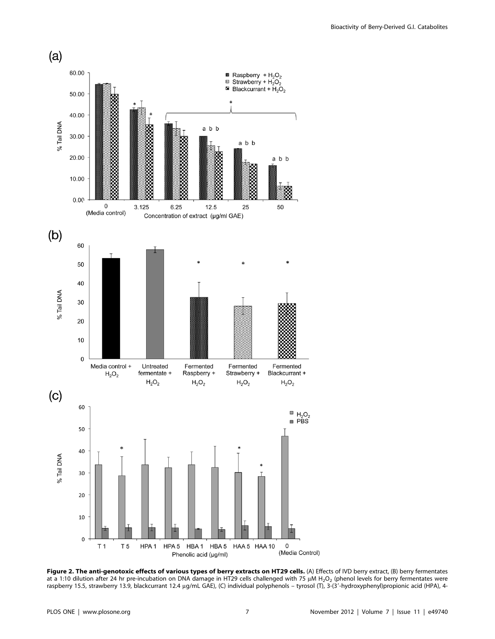

Figure 2. The anti-genotoxic effects of various types of berry extracts on HT29 cells. (A) Effects of IVD berry extract, (B) berry fermentates at a 1:10 dilution after 24 hr pre-incubation on DNA damage in HT29 cells challenged with 75  $\mu$ M H<sub>2</sub>O<sub>2</sub> (phenol levels for berry fermentates were raspberry 15.5, strawberry 13.9, blackcurrant 12.4 µg/mL GAE), (C) individual polyphenols – tyrosol (T), 3-(3'-hydroxyphenyl)propionic acid (HPA), 4-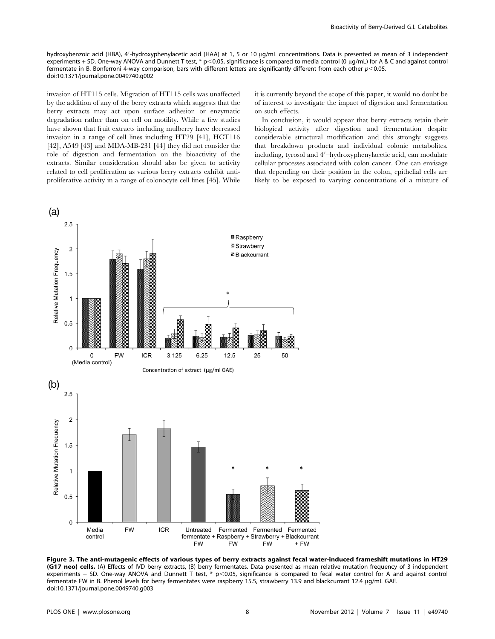hydroxybenzoic acid (HBA), 4'-hydroxyphenylacetic acid (HAA) at 1, 5 or 10 uq/mL concentrations. Data is presented as mean of 3 independent experiments + SD. One-way ANOVA and Dunnett T test, \* p<0.05, significance is compared to media control (0 µg/mL) for A & C and against control fermentate in B. Bonferroni 4-way comparison, bars with different letters are significantly different from each other  $p<0.05$ . doi:10.1371/journal.pone.0049740.g002

invasion of HT115 cells. Migration of HT115 cells was unaffected by the addition of any of the berry extracts which suggests that the berry extracts may act upon surface adhesion or enzymatic degradation rather than on cell on motility. While a few studies have shown that fruit extracts including mulberry have decreased invasion in a range of cell lines including HT29 [41], HCT116 [42], A549 [43] and MDA-MB-231 [44] they did not consider the role of digestion and fermentation on the bioactivity of the extracts. Similar consideration should also be given to activity related to cell proliferation as various berry extracts exhibit antiproliferative activity in a range of colonocyte cell lines [45]. While it is currently beyond the scope of this paper, it would no doubt be of interest to investigate the impact of digestion and fermentation on such effects.

In conclusion, it would appear that berry extracts retain their biological activity after digestion and fermentation despite considerable structural modification and this strongly suggests that breakdown products and individual colonic metabolites, including, tyrosol and 4'-hydroxyphenylacetic acid, can modulate cellular processes associated with colon cancer. One can envisage that depending on their position in the colon, epithelial cells are likely to be exposed to varying concentrations of a mixture of



Figure 3. The anti-mutagenic effects of various types of berry extracts against fecal water-induced frameshift mutations in HT29 (G17 neo) cells. (A) Effects of IVD berry extracts, (B) berry fermentates. Data presented as mean relative mutation frequency of 3 independent experiments + SD. One-way ANOVA and Dunnett T test, \*  $p<0.05$ , significance is compared to fecal water control for A and against control fermentate FW in B. Phenol levels for berry fermentates were raspberry 15.5, strawberry 13.9 and blackcurrant 12.4 µg/mL GAE. doi:10.1371/journal.pone.0049740.g003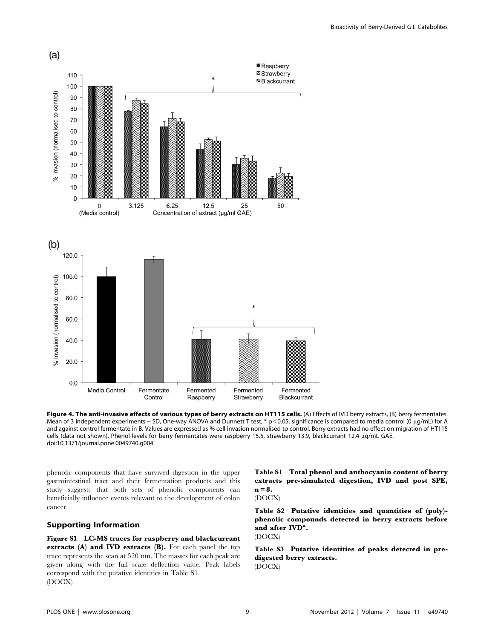

Figure 4. The anti-invasive effects of various types of berry extracts on HT115 cells. (A) Effects of IVD berry extracts, (B) berry fermentates. Mean of 3 independent experiments + SD, One-way ANOVA and Dunnett T test, \* p<0.05, significance is compared to media control (0 µg/mL) for A and against control fermentate in B. Values are expressed as % cell invasion normalised to control. Berry extracts had no effect on migration of HT115 cells (data not shown). Phenol levels for berry fermentates were raspberry 15.5, strawberry 13.9, blackcurrant 12.4 µg/mL GAE. doi:10.1371/journal.pone.0049740.g004

phenolic components that have survived digestion in the upper gastrointestinal tract and their fermentation products and this study suggests that both sets of phenolic components can beneficially influence events relevant to the development of colon cancer.

# Supporting Information

Figure S1 LC-MS traces for raspberry and blackcurrant extracts (A) and IVD extracts (B). For each panel the top trace represents the scan at 520 nm. The masses for each peak are given along with the full scale deflection value. Peak labels correspond with the putative identities in Table S1. (DOCX)

Table S1 Total phenol and anthocyanin content of berry extracts pre-simulated digestion, IVD and post SPE,  $n = 8.$ (DOCX)

Table S2 Putative identities and quantities of (poly) phenolic compounds detected in berry extracts before and after  $\text{IND}^{\mathbf{a}}$ . (DOCX)

Table S3 Putative identities of peaks detected in predigested berry extracts. (DOCX)